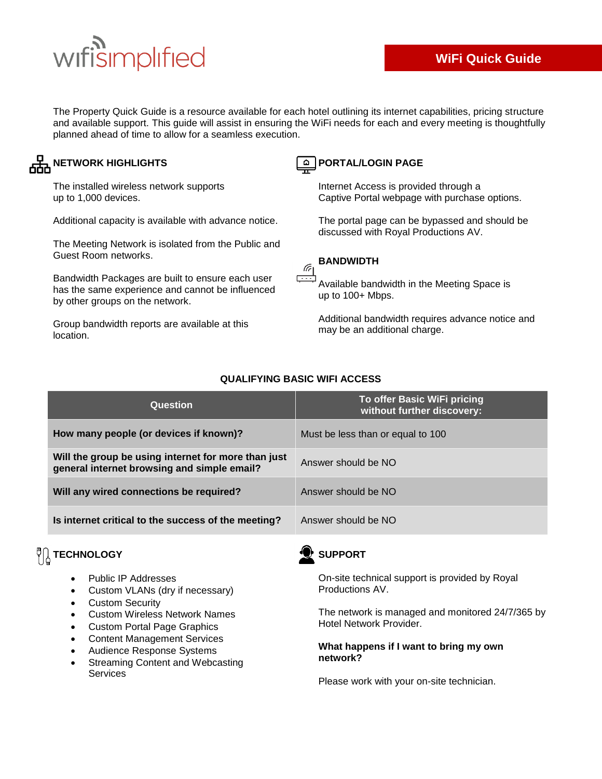# wifisimplified

The Property Quick Guide is a resource available for each hotel outlining its internet capabilities, pricing structure and available support. This guide will assist in ensuring the WiFi needs for each and every meeting is thoughtfully planned ahead of time to allow for a seamless execution.

### **AHA NETWORK HIGHLIGHTS**

The installed wireless network supports up to 1,000 devices.

Additional capacity is available with advance notice.

The Meeting Network is isolated from the Public and Guest Room networks.

Bandwidth Packages are built to ensure each user has the same experience and cannot be influenced by other groups on the network.

Group bandwidth reports are available at this location.

### **PORTAL/LOGIN PAGE**

Internet Access is provided through a Captive Portal webpage with purchase options.

The portal page can be bypassed and should be discussed with Royal Productions AV.

### **BANDWIDTH**

Available bandwidth in the Meeting Space is up to 100+ Mbps.

Additional bandwidth requires advance notice and may be an additional charge.

| Question                                                                                           | To offer Basic WiFi pricing<br>without further discovery: |
|----------------------------------------------------------------------------------------------------|-----------------------------------------------------------|
| How many people (or devices if known)?                                                             | Must be less than or equal to 100                         |
| Will the group be using internet for more than just<br>general internet browsing and simple email? | Answer should be NO                                       |
| Will any wired connections be required?                                                            | Answer should be NO                                       |
| Is internet critical to the success of the meeting?                                                | Answer should be NO                                       |

### **QUALIFYING BASIC WIFI ACCESS**

 $\mathscr{C}_1$ 

### $\sqrt[12]{\begin{bmatrix} 1 \end{bmatrix}}$  TECHNOLOGY

- Public IP Addresses
- Custom VLANs (dry if necessary)
- Custom Security
- Custom Wireless Network Names
- Custom Portal Page Graphics
- Content Management Services
- Audience Response Systems
- Streaming Content and Webcasting **Services**



On-site technical support is provided by Royal Productions AV.

The network is managed and monitored 24/7/365 by Hotel Network Provider.

#### **What happens if I want to bring my own network?**

Please work with your on-site technician.